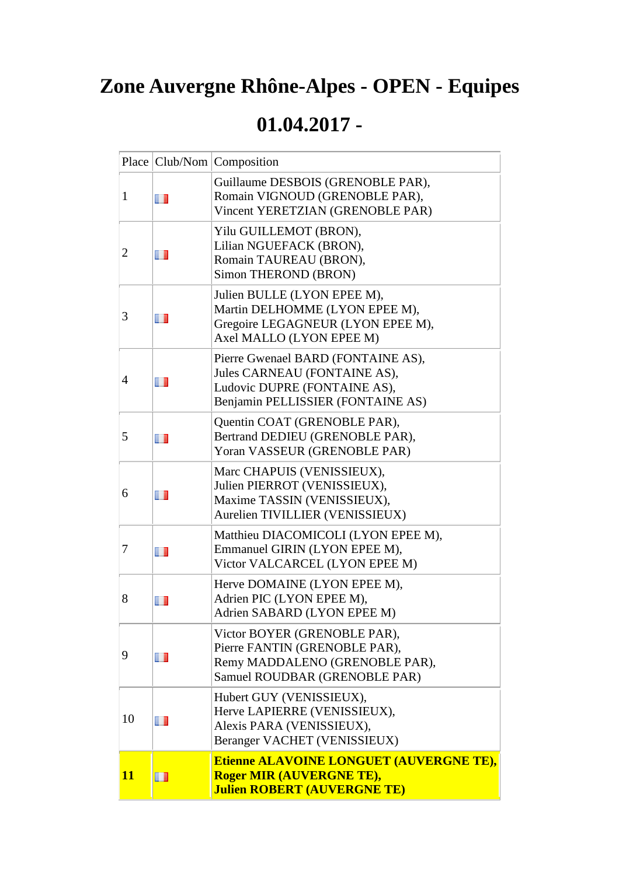## **Zone Auvergne Rhône-Alpes - OPEN - Equipes**

## **01.04.2017 -**

|                |   | Place   Club/Nom   Composition                                                                                                          |
|----------------|---|-----------------------------------------------------------------------------------------------------------------------------------------|
| 1              | П | Guillaume DESBOIS (GRENOBLE PAR),<br>Romain VIGNOUD (GRENOBLE PAR),<br>Vincent YERETZIAN (GRENOBLE PAR)                                 |
| $\overline{2}$ | ш | Yilu GUILLEMOT (BRON),<br>Lilian NGUEFACK (BRON),<br>Romain TAUREAU (BRON),<br>Simon THEROND (BRON)                                     |
| 3              | ш | Julien BULLE (LYON EPEE M),<br>Martin DELHOMME (LYON EPEE M),<br>Gregoire LEGAGNEUR (LYON EPEE M),<br>Axel MALLO (LYON EPEE M)          |
| 4              | ш | Pierre Gwenael BARD (FONTAINE AS),<br>Jules CARNEAU (FONTAINE AS),<br>Ludovic DUPRE (FONTAINE AS),<br>Benjamin PELLISSIER (FONTAINE AS) |
| 5              | H | Quentin COAT (GRENOBLE PAR),<br>Bertrand DEDIEU (GRENOBLE PAR),<br>Yoran VASSEUR (GRENOBLE PAR)                                         |
| 6              | П | Marc CHAPUIS (VENISSIEUX),<br>Julien PIERROT (VENISSIEUX),<br>Maxime TASSIN (VENISSIEUX),<br>Aurelien TIVILLIER (VENISSIEUX)            |
| 7              | П | Matthieu DIACOMICOLI (LYON EPEE M),<br>Emmanuel GIRIN (LYON EPEE M),<br>Victor VALCARCEL (LYON EPEE M)                                  |
| 8              | Ш | Herve DOMAINE (LYON EPEE M),<br>Adrien PIC (LYON EPEE M),<br>Adrien SABARD (LYON EPEE M)                                                |
| 9              | ш | Victor BOYER (GRENOBLE PAR),<br>Pierre FANTIN (GRENOBLE PAR),<br>Remy MADDALENO (GRENOBLE PAR),<br>Samuel ROUDBAR (GRENOBLE PAR)        |
| 10             | H | Hubert GUY (VENISSIEUX),<br>Herve LAPIERRE (VENISSIEUX),<br>Alexis PARA (VENISSIEUX),<br>Beranger VACHET (VENISSIEUX)                   |
| 11             | П | <b>Etienne ALAVOINE LONGUET (AUVERGNE TE),</b><br><b>Roger MIR (AUVERGNE TE),</b><br><b>Julien ROBERT (AUVERGNE TE)</b>                 |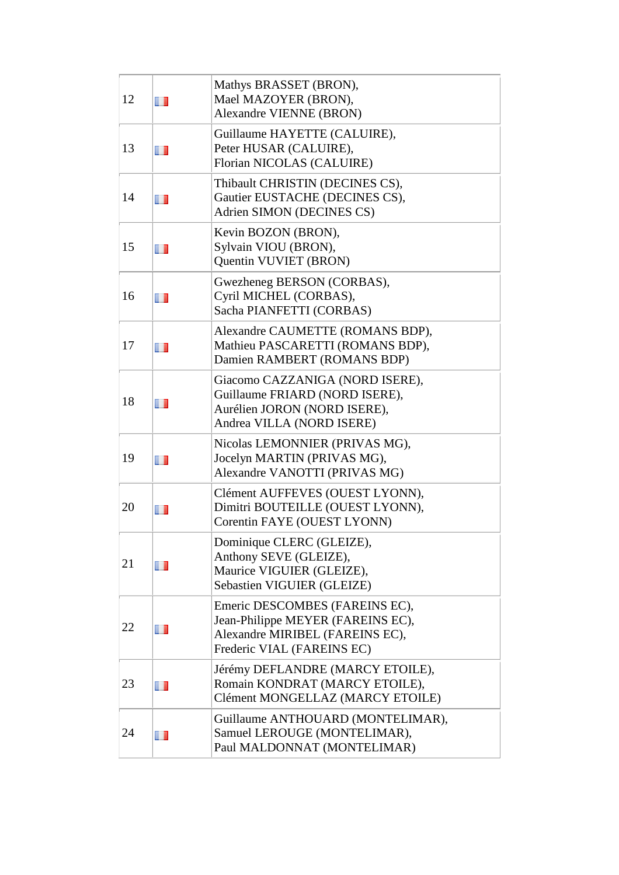| 12 | ш | Mathys BRASSET (BRON),<br>Mael MAZOYER (BRON),<br>Alexandre VIENNE (BRON)                                                            |
|----|---|--------------------------------------------------------------------------------------------------------------------------------------|
| 13 | m | Guillaume HAYETTE (CALUIRE),<br>Peter HUSAR (CALUIRE),<br>Florian NICOLAS (CALUIRE)                                                  |
| 14 | H | Thibault CHRISTIN (DECINES CS),<br>Gautier EUSTACHE (DECINES CS),<br>Adrien SIMON (DECINES CS)                                       |
| 15 | Ш | Kevin BOZON (BRON),<br>Sylvain VIOU (BRON),<br>Quentin VUVIET (BRON)                                                                 |
| 16 | m | Gwezheneg BERSON (CORBAS),<br>Cyril MICHEL (CORBAS),<br>Sacha PIANFETTI (CORBAS)                                                     |
| 17 | n | Alexandre CAUMETTE (ROMANS BDP),<br>Mathieu PASCARETTI (ROMANS BDP),<br>Damien RAMBERT (ROMANS BDP)                                  |
| 18 | n | Giacomo CAZZANIGA (NORD ISERE),<br>Guillaume FRIARD (NORD ISERE),<br>Aurélien JORON (NORD ISERE),<br>Andrea VILLA (NORD ISERE)       |
| 19 | m | Nicolas LEMONNIER (PRIVAS MG),<br>Jocelyn MARTIN (PRIVAS MG),<br>Alexandre VANOTTI (PRIVAS MG)                                       |
| 20 | m | Clément AUFFEVES (OUEST LYONN),<br>Dimitri BOUTEILLE (OUEST LYONN),<br>Corentin FAYE (OUEST LYONN)                                   |
| 21 | n | Dominique CLERC (GLEIZE),<br>Anthony SEVE (GLEIZE),<br>Maurice VIGUIER (GLEIZE),<br>Sebastien VIGUIER (GLEIZE)                       |
| 22 | п | Emeric DESCOMBES (FAREINS EC),<br>Jean-Philippe MEYER (FAREINS EC),<br>Alexandre MIRIBEL (FAREINS EC),<br>Frederic VIAL (FAREINS EC) |
| 23 | ш | Jérémy DEFLANDRE (MARCY ETOILE),<br>Romain KONDRAT (MARCY ETOILE),<br>Clément MONGELLAZ (MARCY ETOILE)                               |
| 24 | m | Guillaume ANTHOUARD (MONTELIMAR),<br>Samuel LEROUGE (MONTELIMAR),<br>Paul MALDONNAT (MONTELIMAR)                                     |